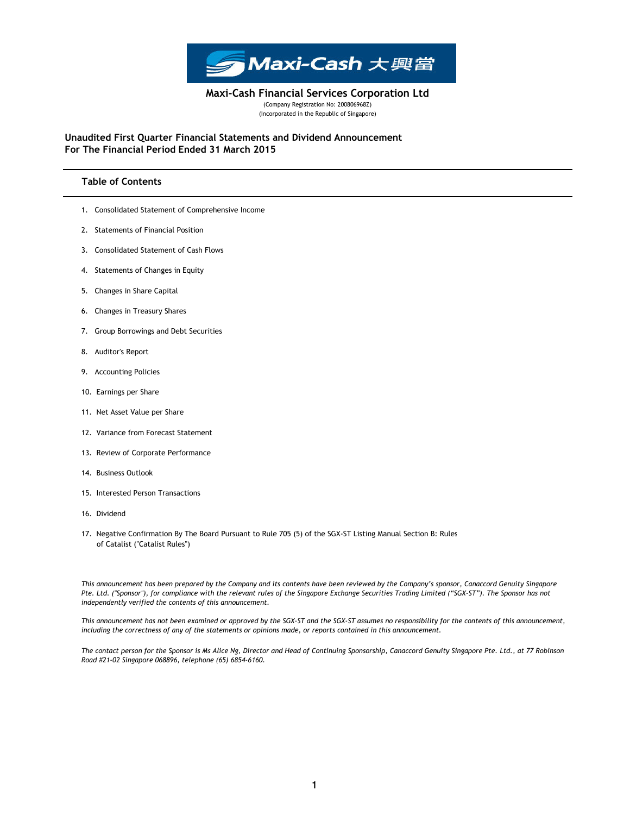

(Company Registration No: 200806968Z) (Incorporated in the Republic of Singapore) Maxi-Cash Financial Services Corporation Ltd

For The Financial Period Ended 31 March 2015 Unaudited First Quarter Financial Statements and Dividend Announcement

## Table of Contents

- 1. Consolidated Statement of Comprehensive Income
- 2. Statements of Financial Position
- 3. Consolidated Statement of Cash Flows
- 4. Statements of Changes in Equity
- 5. Changes in Share Capital
- 6. Changes in Treasury Shares
- 7. Group Borrowings and Debt Securities
- 8. Auditor's Report
- 9. Accounting Policies
- 10. Earnings per Share
- 11. Net Asset Value per Share
- 12. Variance from Forecast Statement
- 13. Review of Corporate Performance
- 14. Business Outlook
- 15. Interested Person Transactions
- 16. Dividend
- 17. Negative Confirmation By The Board Pursuant to Rule 705 (5) of the SGX-ST Listing Manual Section B: Rules of Catalist ("Catalist Rules")

This announcement has been prepared by the Company and its contents have been reviewed by the Company's sponsor, Canaccord Genuity Singapore Pte. Ltd. ("Sponsor"), for compliance with the relevant rules of the Singapore Exchange Securities Trading Limited ("SGX-ST"). The Sponsor has not independently verified the contents of this announcement.

This announcement has not been examined or approved by the SGX-ST and the SGX-ST assumes no responsibility for the contents of this announcement, including the correctness of any of the statements or opinions made, or reports contained in this announcement.

The contact person for the Sponsor is Ms Alice Ng, Director and Head of Continuing Sponsorship, Canaccord Genuity Singapore Pte. Ltd., at 77 Robinson Road #21-02 Singapore 068896, telephone (65) 6854-6160.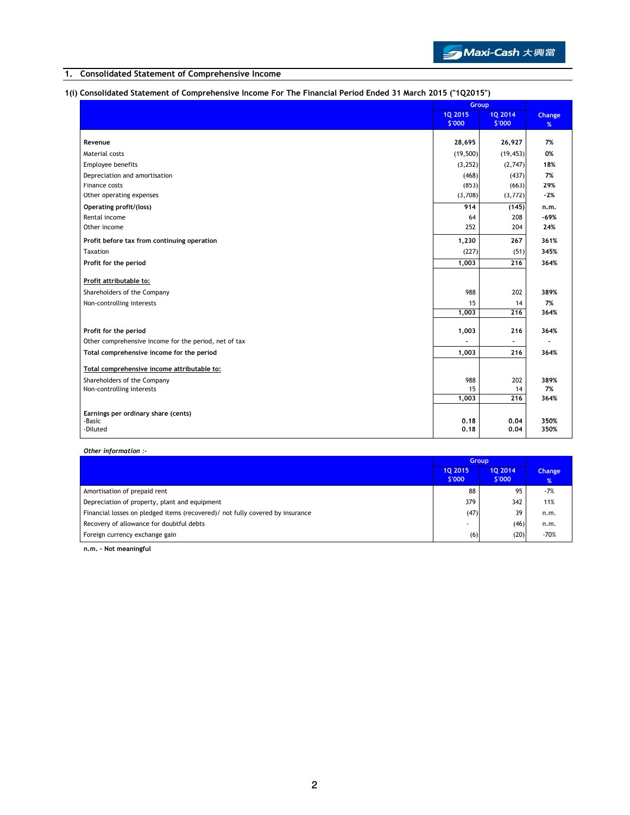

## 1. Consolidated Statement of Comprehensive Income

# 1(i) Consolidated Statement of Comprehensive Income For The Financial Period Ended 31 March 2015 ("1Q2015")

|                                                       | Group          |           |        |
|-------------------------------------------------------|----------------|-----------|--------|
|                                                       | <b>1Q 2015</b> | 10 2014   | Change |
|                                                       | \$'000         | \$'000    | %      |
| Revenue                                               | 28,695         | 26,927    | 7%     |
| Material costs                                        | (19, 500)      | (19, 453) | 0%     |
| Employee benefits                                     | (3,252)        | (2,747)   | 18%    |
| Depreciation and amortisation                         | (468)          | (437)     | 7%     |
| Finance costs                                         | (853)          | (663)     | 29%    |
| Other operating expenses                              | (3,708)        | (3,772)   | $-2%$  |
| Operating profit/(loss)                               | 914            | (145)     | n.m.   |
| Rental income                                         | 64             | 208       | $-69%$ |
| Other income                                          | 252            | 204       | 24%    |
| Profit before tax from continuing operation           | 1,230          | 267       | 361%   |
| Taxation                                              | (227)          | (51)      | 345%   |
| Profit for the period                                 | 1,003          | 216       | 364%   |
| Profit attributable to:                               |                |           |        |
| Shareholders of the Company                           | 988            | 202       | 389%   |
|                                                       | 15             | 14        | 7%     |
| Non-controlling interests                             | 1,003          | 216       | 364%   |
|                                                       |                |           |        |
| Profit for the period                                 | 1,003          | 216       | 364%   |
| Other comprehensive income for the period, net of tax |                |           |        |
| Total comprehensive income for the period             | 1,003          | 216       | 364%   |
| Total comprehensive income attributable to:           |                |           |        |
| Shareholders of the Company                           | 988            | 202       | 389%   |
| Non-controlling interests                             | 15             | 14        | 7%     |
|                                                       | 1,003          | 216       | 364%   |
| Earnings per ordinary share (cents)                   |                |           |        |
| -Basic                                                | 0,18           | 0.04      | 350%   |
| -Diluted                                              | 0,18           | 0.04      | 350%   |

Other information :-

|                                                                                | <b>Group</b>      |                   |                    |
|--------------------------------------------------------------------------------|-------------------|-------------------|--------------------|
|                                                                                | 10 2015<br>\$'000 | 10 2014<br>\$'000 | <b>Change</b><br>% |
| Amortisation of prepaid rent                                                   | 88                | 95                | $-7%$              |
| Depreciation of property, plant and equipment                                  | 379               | 342               | 11%                |
| Financial losses on pledged items (recovered) / not fully covered by insurance | (47)              | 39                | n.m.               |
| Recovery of allowance for doubtful debts                                       |                   | (46)              | n.m.               |
| Foreign currency exchange gain                                                 | (6)               | (20)              | $-70%$             |

n.m. - Not meaningful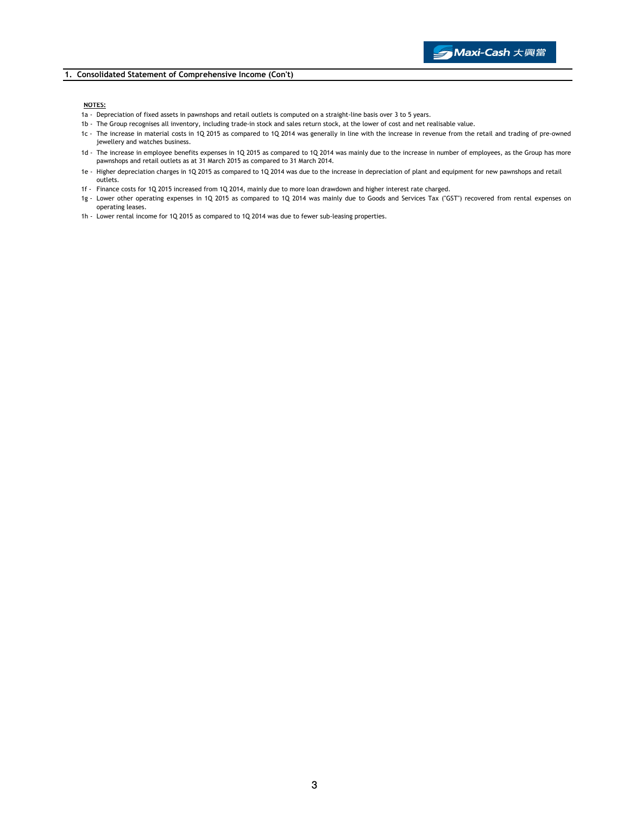#### 1. Consolidated Statement of Comprehensive Income (Con't)

#### NOTES:

- 1a Depreciation of fixed assets in pawnshops and retail outlets is computed on a straight-line basis over 3 to 5 years.
	- 1b The Group recognises all inventory, including trade-in stock and sales return stock, at the lower of cost and net realisable value.
	- 1c The increase in material costs in 1Q 2015 as compared to 1Q 2014 was generally in line with the increase in revenue from the retail and trading of pre-owned jewellery and watches business.
	- 1d The increase in employee benefits expenses in 1Q 2015 as compared to 1Q 2014 was mainly due to the increase in number of employees, as the Group has more pawnshops and retail outlets as at 31 March 2015 as compared to 31 March 2014.
	- 1e Higher depreciation charges in 1Q 2015 as compared to 1Q 2014 was due to the increase in depreciation of plant and equipment for new pawnshops and retail outlets.
	- 1f Finance costs for 1Q 2015 increased from 1Q 2014, mainly due to more loan drawdown and higher interest rate charged.
	- 1g Lower other operating expenses in 1Q 2015 as compared to 1Q 2014 was mainly due to Goods and Services Tax ("GST") recovered from rental expenses on operating leases.
	- 1h Lower rental income for 1Q 2015 as compared to 1Q 2014 was due to fewer sub-leasing properties.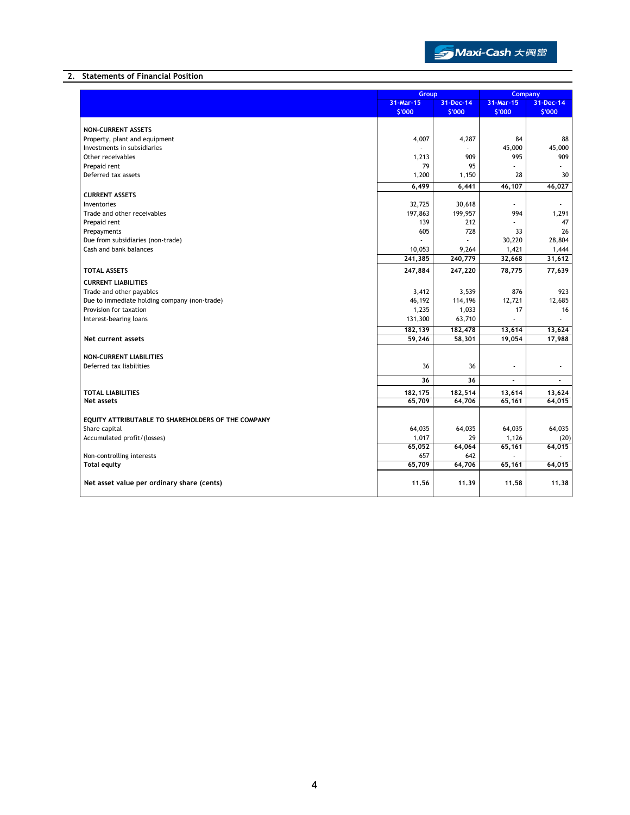

### 2. Statements of Financial Position

|                                                            | Group                            |         | <b>Company</b>      |                          |
|------------------------------------------------------------|----------------------------------|---------|---------------------|--------------------------|
|                                                            | 31-Mar-15<br>31-Dec-14<br>\$'000 |         | 31-Mar-15<br>\$'000 | 31-Dec-14<br>\$'000      |
|                                                            |                                  | \$'000  |                     |                          |
| <b>NON-CURRENT ASSETS</b>                                  |                                  |         |                     |                          |
| Property, plant and equipment                              | 4,007                            | 4,287   | 84                  | 88                       |
| Investments in subsidiaries                                |                                  |         | 45,000              | 45,000                   |
| Other receivables                                          | 1,213                            | 909     | 995                 | 909                      |
| Prepaid rent                                               | 79                               | 95      |                     |                          |
| Deferred tax assets                                        | 1,200                            | 1,150   | 28                  | 30                       |
|                                                            | 6,499                            | 6,441   | 46,107              | 46,027                   |
| <b>CURRENT ASSETS</b>                                      |                                  |         |                     |                          |
| Inventories                                                | 32,725                           | 30,618  | ÷.                  |                          |
| Trade and other receivables                                | 197,863                          | 199,957 | 994                 | 1,291                    |
| Prepaid rent                                               | 139                              | 212     |                     | 47                       |
| Prepayments<br>Due from subsidiaries (non-trade)           | 605                              | 728     | 33<br>30,220        | 26<br>28,804             |
| Cash and bank balances                                     | 10,053                           | 9,264   | 1,421               | 1,444                    |
|                                                            | 241,385                          | 240,779 | 32,668              | 31,612                   |
| <b>TOTAL ASSETS</b>                                        | 247,884                          | 247,220 | 78,775              | 77,639                   |
| <b>CURRENT LIABILITIES</b>                                 |                                  |         |                     |                          |
| Trade and other payables                                   | 3,412                            | 3,539   | 876                 | 923                      |
| Due to immediate holding company (non-trade)               | 46,192                           | 114,196 | 12,721              | 12,685                   |
| Provision for taxation                                     | 1,235                            | 1,033   | 17                  | 16                       |
| Interest-bearing loans                                     | 131,300                          | 63,710  |                     |                          |
|                                                            | 182,139                          | 182,478 | 13,614              | 13,624                   |
| Net current assets                                         | 59,246                           | 58,301  | 19,054              | 17,988                   |
|                                                            |                                  |         |                     |                          |
| <b>NON-CURRENT LIABILITIES</b><br>Deferred tax liabilities | 36                               | 36      | ä,                  | $\overline{\phantom{a}}$ |
|                                                            |                                  |         |                     |                          |
|                                                            | 36                               | 36      |                     | $\blacksquare$           |
| <b>TOTAL LIABILITIES</b>                                   | 182,175                          | 182,514 | 13,614              | 13,624                   |
| <b>Net assets</b>                                          | 65,709                           | 64,706  | 65,161              | 64,015                   |
| EQUITY ATTRIBUTABLE TO SHAREHOLDERS OF THE COMPANY         |                                  |         |                     |                          |
| Share capital                                              | 64,035                           | 64,035  | 64,035              | 64,035                   |
| Accumulated profit/(losses)                                | 1,017                            | 29      | 1,126               | (20)                     |
|                                                            | 65,052                           | 64,064  | 65,161              | 64,015                   |
| Non-controlling interests                                  | 657                              | 642     |                     |                          |
| <b>Total equity</b>                                        | 65,709                           | 64,706  | 65,161              | 64,015                   |
| Net asset value per ordinary share (cents)                 | 11.56                            | 11.39   | 11.58               | 11.38                    |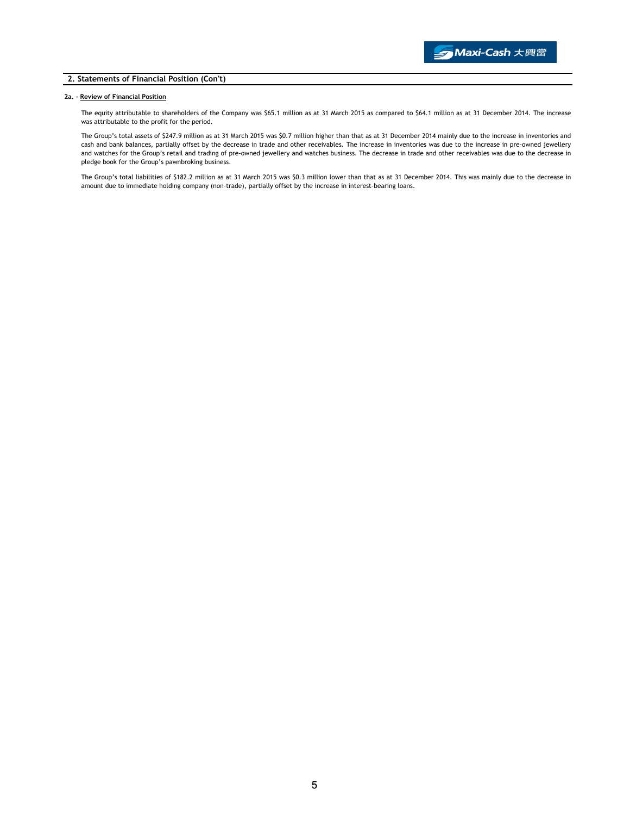#### 2. Statements of Financial Position (Con't)

#### 2a. - Review of Financial Position

The equity attributable to shareholders of the Company was \$65.1 million as at 31 March 2015 as compared to \$64.1 million as at 31 December 2014. The increase was attributable to the profit for the period.

The Group's total assets of \$247.9 million as at 31 March 2015 was \$0.7 million higher than that as at 31 December 2014 mainly due to the increase in inventories and cash and bank balances, partially offset by the decrease in trade and other receivables. The increase in inventories was due to the increase in pre-owned jewellery and watches for the Group's retail and trading of pre-owned jewellery and watches business. The decrease in trade and other receivables was due to the decrease in pledge book for the Group's pawnbroking business.

The Group's total liabilities of \$182.2 million as at 31 March 2015 was \$0.3 million lower than that as at 31 December 2014. This was mainly due to the decrease in amount due to immediate holding company (non-trade), partially offset by the increase in interest-bearing loans.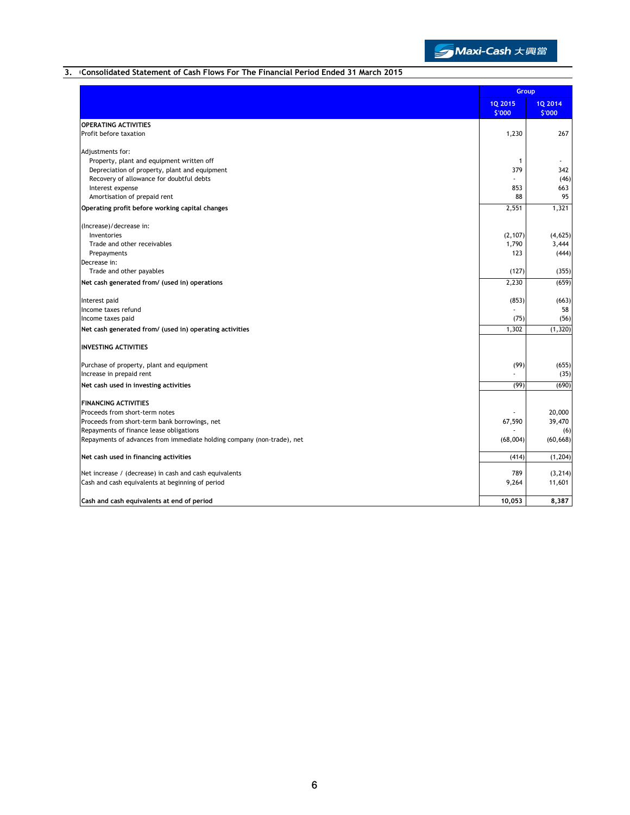

## 3. Consolidated Statement of Cash Flows For The Financial Period Ended 31 March 2015

|                                                                        | Group                    |                   |
|------------------------------------------------------------------------|--------------------------|-------------------|
|                                                                        | <b>1Q 2015</b><br>\$'000 | 1Q 2014<br>\$'000 |
| <b>OPERATING ACTIVITIES</b>                                            |                          |                   |
| Profit before taxation                                                 | 1,230                    | 267               |
| Adjustments for:                                                       |                          |                   |
| Property, plant and equipment written off                              | $\mathbf{1}$             |                   |
| Depreciation of property, plant and equipment                          | 379                      | 342               |
| Recovery of allowance for doubtful debts                               |                          | (46)              |
| Interest expense                                                       | 853                      | 663               |
| Amortisation of prepaid rent                                           | 88                       | 95                |
| Operating profit before working capital changes                        | 2,551                    | 1,321             |
| (Increase)/decrease in:                                                |                          |                   |
| Inventories                                                            | (2, 107)                 | (4, 625)          |
| Trade and other receivables                                            | 1,790                    | 3,444             |
| Prepayments                                                            | 123                      | (444)             |
| Decrease in:                                                           |                          |                   |
| Trade and other payables                                               | (127)                    | (355)             |
| Net cash generated from/ (used in) operations                          | 2,230                    | (659)             |
| Interest paid                                                          | (853)                    | (663)             |
| Income taxes refund                                                    |                          | 58                |
| Income taxes paid                                                      | (75)                     | (56)              |
| Net cash generated from/ (used in) operating activities                | 1,302                    | (1, 320)          |
| <b>INVESTING ACTIVITIES</b>                                            |                          |                   |
| Purchase of property, plant and equipment                              | (99)                     | (655)             |
| Increase in prepaid rent                                               |                          | (35)              |
| Net cash used in investing activities                                  | (99)                     | (690)             |
| <b>FINANCING ACTIVITIES</b>                                            |                          |                   |
| Proceeds from short-term notes                                         |                          | 20,000            |
| Proceeds from short-term bank borrowings, net                          | 67,590                   | 39,470            |
| Repayments of finance lease obligations                                |                          | (6)               |
| Repayments of advances from immediate holding company (non-trade), net | (68,004)                 | (60, 668)         |
| Net cash used in financing activities                                  | (414)                    | (1, 204)          |
| Net increase / (decrease) in cash and cash equivalents                 | 789                      | (3, 214)          |
| Cash and cash equivalents at beginning of period                       | 9,264                    | 11,601            |
| Cash and cash equivalents at end of period                             | 10,053                   | 8,387             |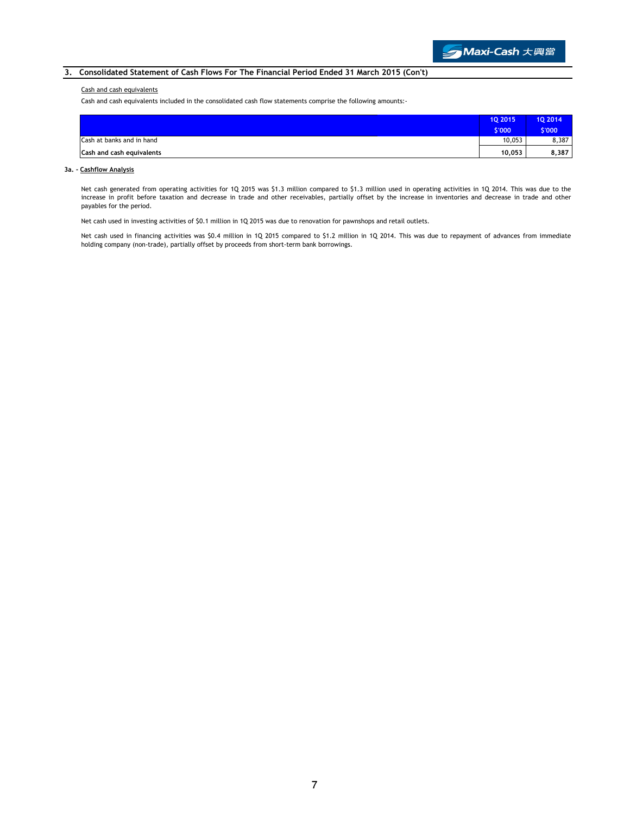### 3. Consolidated Statement of Cash Flows For The Financial Period Ended 31 March 2015 (Con't)

#### Cash and cash equivalents

Cash and cash equivalents included in the consolidated cash flow statements comprise the following amounts:-

|                           | 10 2015 | 10 2014 |
|---------------------------|---------|---------|
|                           | \$'000  | \$'000  |
| Cash at banks and in hand | 10.053  | 8,387   |
| Cash and cash equivalents | 10.053  | 8,387   |

### 3a. - Cashflow Analysis

Net cash generated from operating activities for 1Q 2015 was \$1.3 million compared to \$1.3 million used in operating activities in 1Q 2014. This was due to the increase in profit before taxation and decrease in trade and other receivables, partially offset by the increase in inventories and decrease in trade and other payables for the period.

Net cash used in investing activities of \$0.1 million in 1Q 2015 was due to renovation for pawnshops and retail outlets.

Net cash used in financing activities was \$0.4 million in 1Q 2015 compared to \$1.2 million in 1Q 2014. This was due to repayment of advances from immediate holding company (non-trade), partially offset by proceeds from short-term bank borrowings.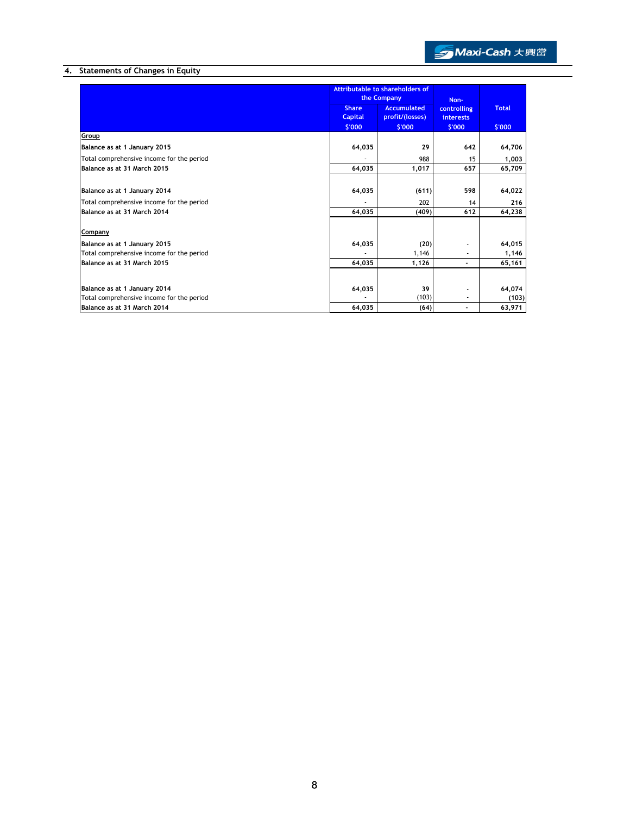

# 4. Statements of Changes in Equity

|                                           | Attributable to shareholders of<br>the Company |                                       | Non-                            |              |
|-------------------------------------------|------------------------------------------------|---------------------------------------|---------------------------------|--------------|
|                                           | <b>Share</b><br><b>Capital</b>                 | <b>Accumulated</b><br>profit/(losses) | controlling<br><b>interests</b> | <b>Total</b> |
|                                           | \$'000                                         | \$'000                                | \$'000                          | \$'000       |
| Group                                     |                                                |                                       |                                 |              |
| Balance as at 1 January 2015              | 64,035                                         | 29                                    | 642                             | 64,706       |
| Total comprehensive income for the period |                                                | 988                                   | 15                              | 1,003        |
| Balance as at 31 March 2015               | 64,035                                         | 1,017                                 | 657                             | 65,709       |
|                                           |                                                |                                       |                                 |              |
| Balance as at 1 January 2014              | 64,035                                         | (611)                                 | 598                             | 64,022       |
| Total comprehensive income for the period |                                                | 202                                   | 14                              | 216          |
| Balance as at 31 March 2014               | 64,035                                         | (409)                                 | 612                             | 64,238       |
| Company                                   |                                                |                                       |                                 |              |
| Balance as at 1 January 2015              | 64,035                                         | (20)                                  |                                 | 64,015       |
| Total comprehensive income for the period |                                                | 1,146                                 |                                 | 1,146        |
| Balance as at 31 March 2015               | 64,035                                         | 1,126                                 |                                 | 65,161       |
|                                           |                                                |                                       |                                 |              |
| Balance as at 1 January 2014              | 64,035                                         | 39                                    |                                 | 64,074       |
| Total comprehensive income for the period |                                                | (103)                                 |                                 | (103)        |
| Balance as at 31 March 2014               | 64,035                                         | (64)                                  |                                 | 63,971       |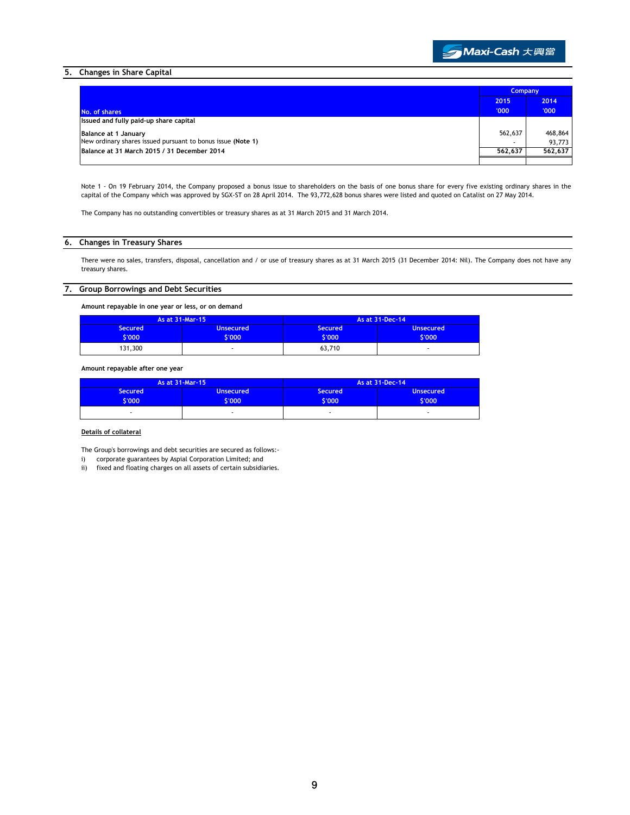

### 5. Changes in Share Capital

|                                                             | <b>Company</b> |         |
|-------------------------------------------------------------|----------------|---------|
|                                                             | 2015           | 2014    |
| No. of shares                                               | '000           | '000'   |
| Issued and fully paid-up share capital                      |                |         |
| Balance at 1 January                                        | 562,637        | 468,864 |
| New ordinary shares issued pursuant to bonus issue (Note 1) |                | 93,773  |
| Balance at 31 March 2015 / 31 December 2014                 | 562.637        | 562.637 |
|                                                             |                |         |

Note 1 - On 19 February 2014, the Company proposed a bonus issue to shareholders on the basis of one bonus share for every five existing ordinary shares in the capital of the Company which was approved by SGX-ST on 28 April 2014. The 93,772,628 bonus shares were listed and quoted on Catalist on 27 May 2014.

The Company has no outstanding convertibles or treasury shares as at 31 March 2015 and 31 March 2014.

### 6. Changes in Treasury Shares

There were no sales, transfers, disposal, cancellation and / or use of treasury shares as at 31 March 2015 (31 December 2014: Nil). The Company does not have any treasury shares.

### 7. Group Borrowings and Debt Securities

Amount repayable in one year or less, or on demand

|                | As at 31-Mar-15 |                | As at 31-Dec-14  |
|----------------|-----------------|----------------|------------------|
| <b>Secured</b> | Unsecured       | <b>Secured</b> | <b>Unsecured</b> |
| 6'000'         | \$'000          | 6'000'         | \$'000'          |
| 131,300        |                 | 63,710         |                  |

Amount repayable after one year

|                          | As at 31-Mar-15            |                          | As at 31-Dec-14            |
|--------------------------|----------------------------|--------------------------|----------------------------|
| <b>Secured</b><br>\$'000 | <b>Unsecured</b><br>\$'000 | <b>Secured</b><br>6'000' | <b>Unsecured</b><br>\$'000 |
|                          |                            |                          |                            |

#### Details of collateral

The Group's borrowings and debt securities are secured as follows:-

i) corporate guarantees by Aspial Corporation Limited; and

ii) fixed and floating charges on all assets of certain subsidiaries.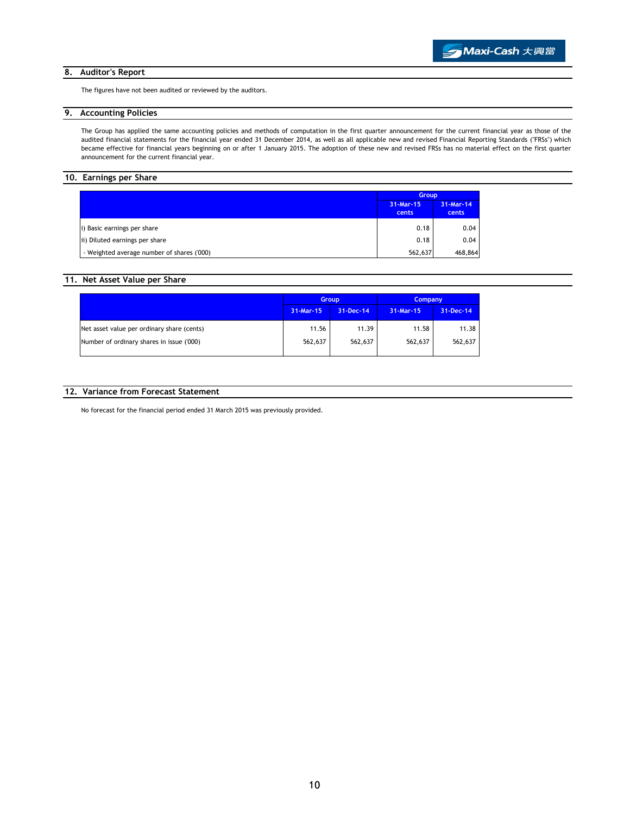#### 8. Auditor's Report

The figures have not been audited or reviewed by the auditors.

## 9. Accounting Policies

The Group has applied the same accounting policies and methods of computation in the first quarter announcement for the current financial year as those of the audited financial statements for the financial year ended 31 December 2014, as well as all applicable new and revised Financial Reporting Standards ("FRSs") which became effective for financial years beginning on or after 1 January 2015. The adoption of these new and revised FRSs has no material effect on the first quarter announcement for the current financial year.

# 10. Earnings per Share

|                                            | <b>Group</b>       |                    |
|--------------------------------------------|--------------------|--------------------|
|                                            | 31-Mar-15<br>cents | 31-Mar-14<br>cents |
| i) Basic earnings per share                | 0.18               | 0.04               |
| ii) Diluted earnings per share             | 0.18               | 0.04               |
| - Weighted average number of shares ('000) | 562,637            | 468,864            |

## 11. Net Asset Value per Share

|                                            | <b>Group</b> |           | <b>Company</b> |           |
|--------------------------------------------|--------------|-----------|----------------|-----------|
|                                            | 31-Mar-15    | 31-Dec-14 | 31-Mar-15      | 31-Dec-14 |
| Net asset value per ordinary share (cents) | 11.56        | 11.39     | 11.58          | 11.38     |
| Number of ordinary shares in issue ('000)  | 562,637      | 562,637   | 562,637        | 562,637   |

#### 12. Variance from Forecast Statement

No forecast for the financial period ended 31 March 2015 was previously provided.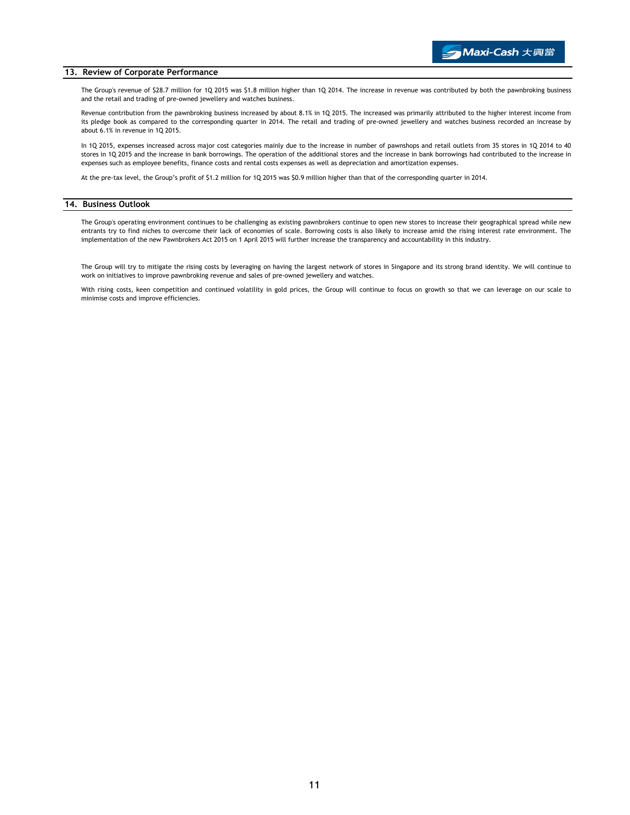#### 13. Review of Corporate Performance

The Group's revenue of \$28.7 million for 1Q 2015 was \$1.8 million higher than 1Q 2014. The increase in revenue was contributed by both the pawnbroking business and the retail and trading of pre-owned jewellery and watches business.

Revenue contribution from the pawnbroking business increased by about 8.1% in 1Q 2015. The increased was primarily attributed to the higher interest income from its pledge book as compared to the corresponding quarter in 2014. The retail and trading of pre-owned jewellery and watches business recorded an increase by about 6.1% in revenue in 1Q 2015.

In 1Q 2015, expenses increased across major cost categories mainly due to the increase in number of pawnshops and retail outlets from 35 stores in 1Q 2014 to 40 stores in 1Q 2015 and the increase in bank borrowings. The operation of the additional stores and the increase in bank borrowings had contributed to the increase in expenses such as employee benefits, finance costs and rental costs expenses as well as depreciation and amortization expenses.

At the pre-tax level, the Group's profit of \$1.2 million for 1Q 2015 was \$0.9 million higher than that of the corresponding quarter in 2014.

#### 14. Business Outlook

The Group's operating environment continues to be challenging as existing pawnbrokers continue to open new stores to increase their geographical spread while new entrants try to find niches to overcome their lack of economies of scale. Borrowing costs is also likely to increase amid the rising interest rate environment. The implementation of the new Pawnbrokers Act 2015 on 1 April 2015 will further increase the transparency and accountability in this industry.

The Group will try to mitigate the rising costs by leveraging on having the largest network of stores in Singapore and its strong brand identity. We will continue to work on initiatives to improve pawnbroking revenue and sales of pre-owned jewellery and watches.

With rising costs, keen competition and continued volatility in gold prices, the Group will continue to focus on growth so that we can leverage on our scale to minimise costs and improve efficiencies.